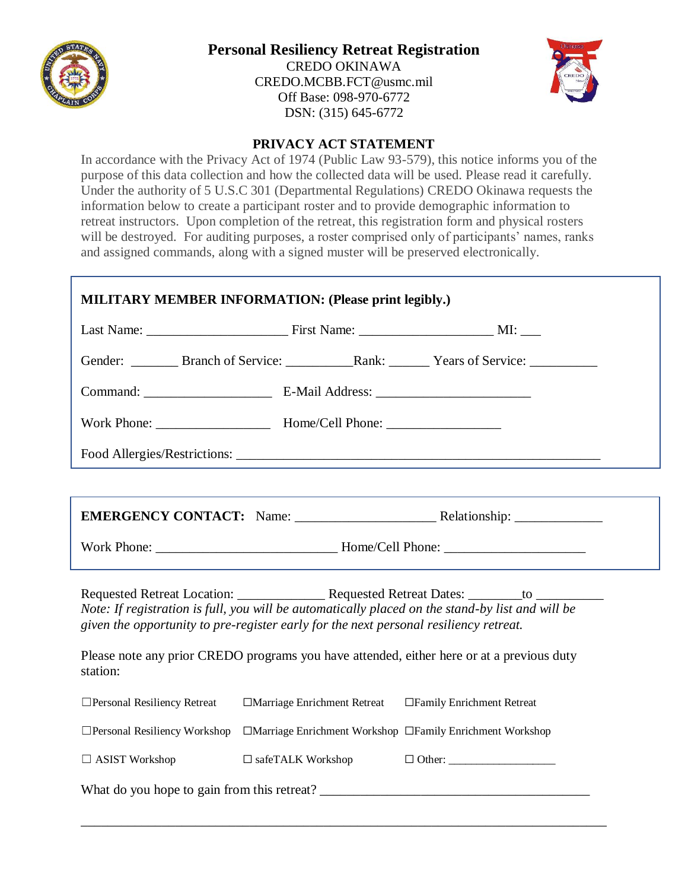

## **Personal Resiliency Retreat Registration**

CREDO OKINAWA [CREDO.MCBB.FCT@usmc.mil](mailto:CREDO.MCBB.FCT@usmc.mil) Off Base: 098-970-6772 DSN: (315) 645-6772



## **PRIVACY ACT STATEMENT**

In accordance with the Privacy Act of 1974 (Public Law 93-579), this notice informs you of the purpose of this data collection and how the collected data will be used. Please read it carefully. Under the authority of 5 U.S.C 301 (Departmental Regulations) CREDO Okinawa requests the information below to create a participant roster and to provide demographic information to retreat instructors. Upon completion of the retreat, this registration form and physical rosters will be destroyed. For auditing purposes, a roster comprised only of participants' names, ranks and assigned commands, along with a signed muster will be preserved electronically.

| <b>MILITARY MEMBER INFORMATION: (Please print legibly.)</b>                                                                                                                                                                                                                            |                                                         |                                                           |  |
|----------------------------------------------------------------------------------------------------------------------------------------------------------------------------------------------------------------------------------------------------------------------------------------|---------------------------------------------------------|-----------------------------------------------------------|--|
|                                                                                                                                                                                                                                                                                        |                                                         |                                                           |  |
|                                                                                                                                                                                                                                                                                        |                                                         |                                                           |  |
|                                                                                                                                                                                                                                                                                        |                                                         |                                                           |  |
|                                                                                                                                                                                                                                                                                        |                                                         |                                                           |  |
|                                                                                                                                                                                                                                                                                        |                                                         |                                                           |  |
|                                                                                                                                                                                                                                                                                        |                                                         |                                                           |  |
|                                                                                                                                                                                                                                                                                        |                                                         |                                                           |  |
|                                                                                                                                                                                                                                                                                        |                                                         |                                                           |  |
| Note: If registration is full, you will be automatically placed on the stand-by list and will be<br>given the opportunity to pre-register early for the next personal resiliency retreat.<br>Please note any prior CREDO programs you have attended, either here or at a previous duty |                                                         |                                                           |  |
| station:                                                                                                                                                                                                                                                                               |                                                         |                                                           |  |
| □ Personal Resiliency Retreat                                                                                                                                                                                                                                                          | □Marriage Enrichment Retreat □Family Enrichment Retreat |                                                           |  |
| $\Box$ Personal Resiliency Workshop                                                                                                                                                                                                                                                    |                                                         | □Marriage Enrichment Workshop □Family Enrichment Workshop |  |
| $\Box$ ASIST Workshop                                                                                                                                                                                                                                                                  | $\Box$ safeTALK Workshop                                | $\Box$ Other:                                             |  |
|                                                                                                                                                                                                                                                                                        |                                                         |                                                           |  |

\_\_\_\_\_\_\_\_\_\_\_\_\_\_\_\_\_\_\_\_\_\_\_\_\_\_\_\_\_\_\_\_\_\_\_\_\_\_\_\_\_\_\_\_\_\_\_\_\_\_\_\_\_\_\_\_\_\_\_\_\_\_\_\_\_\_\_\_\_\_\_\_\_\_\_\_\_\_